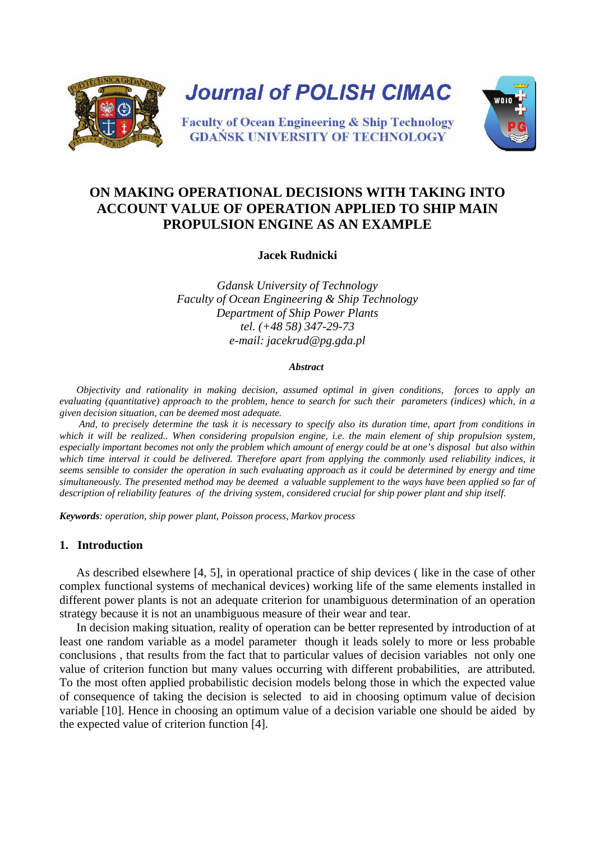

# **ON MAKING OPERATIONAL DECISIONS WITH TAKING INTO ACCOUNT VALUE OF OPERATION APPLIED TO SHIP MAIN PROPULSION ENGINE AS AN EXAMPLE**

**Jacek Rudnicki**

*Gdansk University of Technology Faculty of Ocean Engineering & Ship Technology Department of Ship Power Plants tel. (+48 58) 347-29-73 e-mail: jacekrud@pg.gda.pl*

#### *Abstract*

*Objectivity and rationality in making decision, assumed optimal in given conditions, forces to apply an evaluating (quantitative) approach to the problem, hence to search for such their parameters (indices) which, in a given decision situation, can be deemed most adequate.*

*And, to precisely determine the task it is necessary to specify also its duration time, apart from conditions in*  which it will be realized.. When considering propulsion engine, i.e. the main element of ship propulsion system, *especially important becomes not only the problem which amount of energy could be at one's disposal but also within*  which time interval it could be delivered. Therefore apart from applying the commonly used reliability indices, it *seems sensible to consider the operation in such evaluating approach as it could be determined by energy and time simultaneously. The presented method may be deemed a valuable supplement to the ways have been applied so far of description of reliability features of the driving system, considered crucial for ship power plant and ship itself.* 

*Keywords: operation, ship power plant, Poisson process, Markov process*

#### **1. Introduction**

As described elsewhere [4, 5], in operational practice of ship devices ( like in the case of other complex functional systems of mechanical devices) working life of the same elements installed in different power plants is not an adequate criterion for unambiguous determination of an operation strategy because it is not an unambiguous measure of their wear and tear.

In decision making situation, reality of operation can be better represented by introduction of at least one random variable as a model parameter though it leads solely to more or less probable conclusions , that results from the fact that to particular values of decision variables not only one value of criterion function but many values occurring with different probabilities, are attributed. To the most often applied probabilistic decision models belong those in which the expected value of consequence of taking the decision is selected to aid in choosing optimum value of decision variable [10]. Hence in choosing an optimum value of a decision variable one should be aided by the expected value of criterion function [4].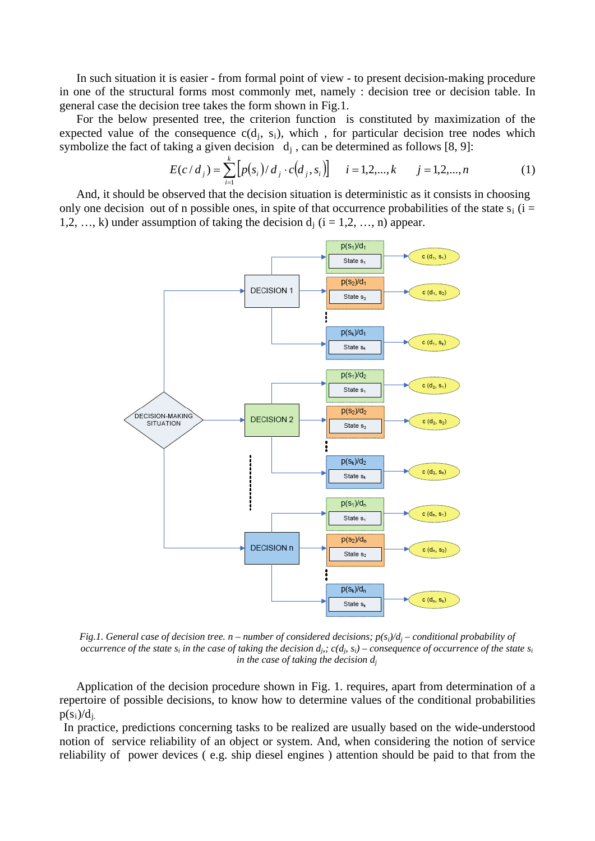In such situation it is easier - from formal point of view - to present decision-making procedure in one of the structural forms most commonly met, namely : decision tree or decision table. In general case the decision tree takes the form shown in Fig.1.

For the below presented tree, the criterion function is constituted by maximization of the expected value of the consequence  $c(d_i, s_i)$ , which, for particular decision tree nodes which symbolize the fact of taking a given decision  $d_j$ , can be determined as follows [8, 9]:

$$
E(c/d_j) = \sum_{i=1}^{k} \left[ p(s_i) / d_j \cdot c(d_j, s_i) \right] \quad i = 1, 2, ..., k \quad j = 1, 2, ..., n \tag{1}
$$

And, it should be observed that the decision situation is deterministic as it consists in choosing only one decision out of n possible ones, in spite of that occurrence probabilities of the state  $s_i$  (i = 1,2, …, k) under assumption of taking the decision  $d_i$  (i = 1,2, …, n) appear.



*Fig.1. General case of decision tree.*  $n$  – number of considered decisions;  $p(s_i)/d_i$  – conditional probability of *occurrence of the state s<sub>i</sub> in the case of taking the decision*  $d_i$ ,  $c(d_i, s_i)$  – consequence of occurrence of the state  $s_i$ *in the case of taking the decision dj* 

Application of the decision procedure shown in Fig. 1. requires, apart from determination of a repertoire of possible decisions, to know how to determine values of the conditional probabilities  $p(s_i)/d_i$ 

In practice, predictions concerning tasks to be realized are usually based on the wide-understood notion of service reliability of an object or system. And, when considering the notion of service reliability of power devices ( e.g. ship diesel engines ) attention should be paid to that from the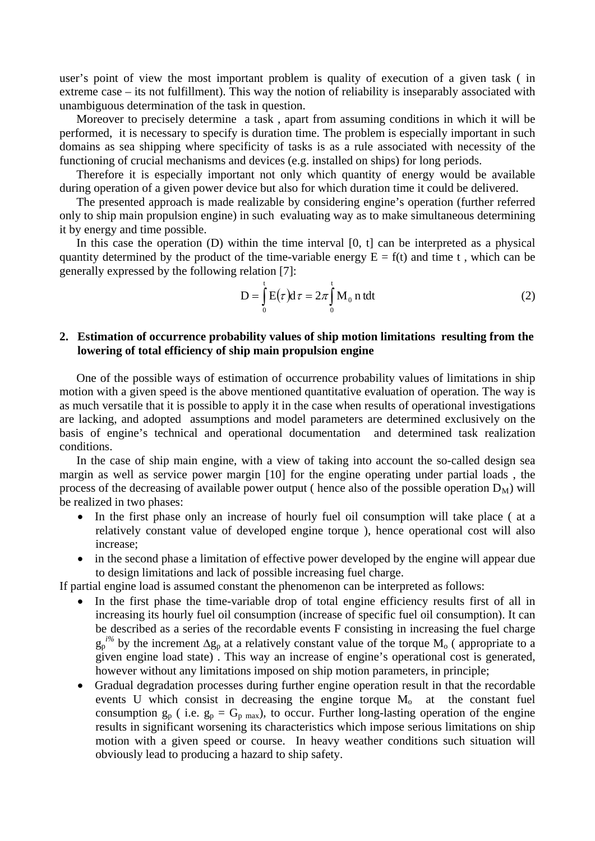user's point of view the most important problem is quality of execution of a given task ( in extreme case – its not fulfillment). This way the notion of reliability is inseparably associated with unambiguous determination of the task in question.

Moreover to precisely determine a task , apart from assuming conditions in which it will be performed, it is necessary to specify is duration time. The problem is especially important in such domains as sea shipping where specificity of tasks is as a rule associated with necessity of the functioning of crucial mechanisms and devices (e.g. installed on ships) for long periods.

Therefore it is especially important not only which quantity of energy would be available during operation of a given power device but also for which duration time it could be delivered.

The presented approach is made realizable by considering engine's operation (further referred only to ship main propulsion engine) in such evaluating way as to make simultaneous determining it by energy and time possible.

In this case the operation (D) within the time interval  $[0, t]$  can be interpreted as a physical quantity determined by the product of the time-variable energy  $E = f(t)$  and time t, which can be generally expressed by the following relation [7]:

$$
D = \int_{0}^{t} E(\tau) d\tau = 2\pi \int_{0}^{t} M_0 n t dt
$$
 (2)

#### **2. Estimation of occurrence probability values of ship motion limitations resulting from the lowering of total efficiency of ship main propulsion engine**

One of the possible ways of estimation of occurrence probability values of limitations in ship motion with a given speed is the above mentioned quantitative evaluation of operation. The way is as much versatile that it is possible to apply it in the case when results of operational investigations are lacking, and adopted assumptions and model parameters are determined exclusively on the basis of engine's technical and operational documentation and determined task realization conditions.

In the case of ship main engine, with a view of taking into account the so-called design sea margin as well as service power margin [10] for the engine operating under partial loads , the process of the decreasing of available power output (hence also of the possible operation  $D_M$ ) will be realized in two phases:

- In the first phase only an increase of hourly fuel oil consumption will take place ( at a relatively constant value of developed engine torque ), hence operational cost will also increase;
- in the second phase a limitation of effective power developed by the engine will appear due to design limitations and lack of possible increasing fuel charge.

If partial engine load is assumed constant the phenomenon can be interpreted as follows:

- In the first phase the time-variable drop of total engine efficiency results first of all in increasing its hourly fuel oil consumption (increase of specific fuel oil consumption). It can be described as a series of the recordable events F consisting in increasing the fuel charge  $g_p$ <sup>*i%*</sup> by the increment Δg<sub>p</sub> at a relatively constant value of the torque M<sub>o</sub> (appropriate to a given engine load state) . This way an increase of engine's operational cost is generated, however without any limitations imposed on ship motion parameters, in principle;
- Gradual degradation processes during further engine operation result in that the recordable events U which consist in decreasing the engine torque  $M<sub>o</sub>$  at the constant fuel consumption  $g_p$  ( i.e.  $g_p = G_p$  max), to occur. Further long-lasting operation of the engine results in significant worsening its characteristics which impose serious limitations on ship motion with a given speed or course. In heavy weather conditions such situation will obviously lead to producing a hazard to ship safety.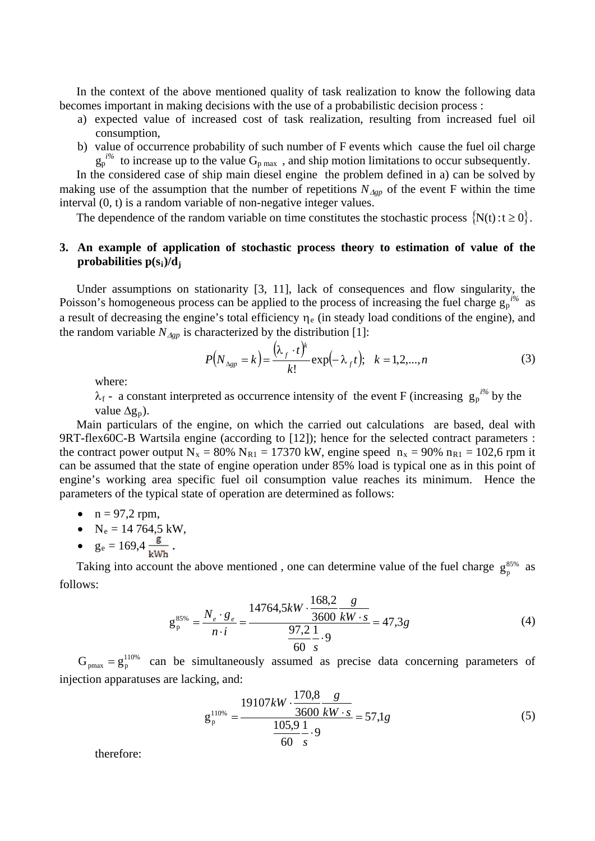In the context of the above mentioned quality of task realization to know the following data becomes important in making decisions with the use of a probabilistic decision process :

- a) expected value of increased cost of task realization, resulting from increased fuel oil consumption,
- b) value of occurrence probability of such number of F events which cause the fuel oil charge  $g_p$ <sup> $i\%$ </sup> to increase up to the value  $G_{p \max}$ , and ship motion limitations to occur subsequently.

In the considered case of ship main diesel engine the problem defined in a) can be solved by making use of the assumption that the number of repetitions *N*∆*gp* of the event F within the time interval (0, t) is a random variable of non-negative integer values.

The dependence of the random variable on time constitutes the stochastic process  $\{N(t): t \geq 0\}$ .

### **3. An example of application of stochastic process theory to estimation of value of the probabilities**  $p(s_i)/d_i$

Under assumptions on stationarity [3, 11], lack of consequences and flow singularity, the Poisson's homogeneous process can be applied to the process of increasing the fuel charge  $g_p^{i\%}$  as a result of decreasing the engine's total efficiency  $\eta_e$  (in steady load conditions of the engine), and the random variable  $N_{\Delta gp}$  is characterized by the distribution [1]:

$$
P(N_{\Delta gp} = k) = \frac{(\lambda_f \cdot t)^k}{k!} \exp(-\lambda_f t); \quad k = 1, 2, ..., n
$$
 (3)

where:

 $\lambda_f$  - a constant interpreted as occurrence intensity of the event F (increasing  $g_p^{i\%}$  by the value  $\Delta g_p$ ).

Main particulars of the engine, on which the carried out calculations are based, deal with 9RT-flex60C-B Wartsila engine (according to [12]); hence for the selected contract parameters : the contract power output  $N_x = 80\% N_{R1} = 17370 \text{ kW}$ , engine speed  $n_x = 90\% n_{R1} = 102.6 \text{ rpm}$  it can be assumed that the state of engine operation under 85% load is typical one as in this point of engine's working area specific fuel oil consumption value reaches its minimum. Hence the parameters of the typical state of operation are determined as follows:

- $n = 97.2$  rpm,
- $\bullet$  N<sub>e</sub>  $= 14$  764,5 kW,
- $\bullet$  g  $_{e} = 169.4 \frac{5}{1.147}$ .

Taking into account the above mentioned, one can determine value of the fuel charge  $g_p^{85\%}$  as follows:

$$
g_p^{85\%} = \frac{N_e \cdot g_e}{n \cdot i} = \frac{14764,5kW \cdot \frac{168,2}{3600 \cdot kW \cdot s}}{97,2 \cdot 1 \cdot 9} = 47,3g
$$
(4)

 $G_{pmax} = g_p^{110\%}$  can be simultaneously assumed as precise data concerning parameters of injection apparatuses are lacking, and:

$$
g_{p}^{110\%} = \frac{19107kW \cdot \frac{170,8}{3600} \frac{g}{kW \cdot s}}{\frac{105,9}{60} \frac{1}{s} \cdot 9} = 57,1g
$$
 (5)

therefore: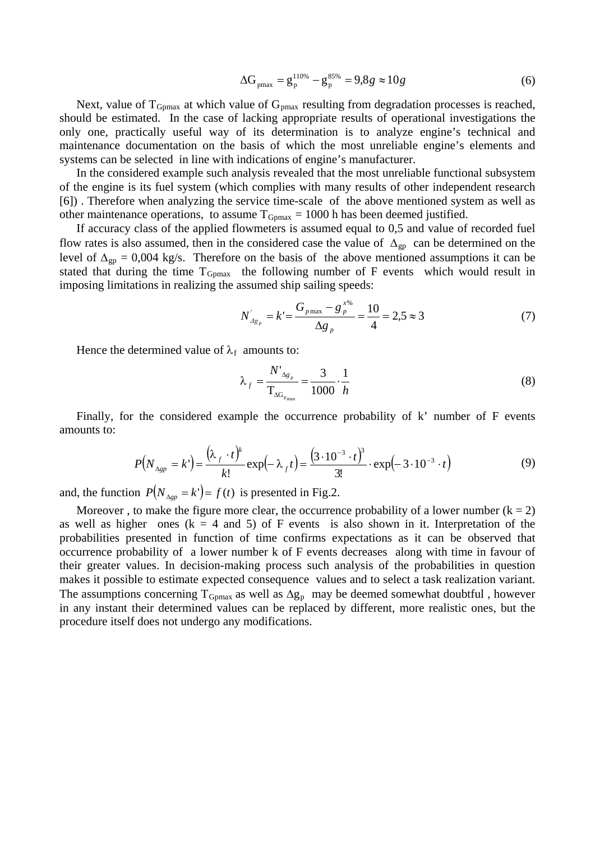$$
\Delta G_{pmax} = g_p^{110\%} - g_p^{85\%} = 9.8g \approx 10g \tag{6}
$$

Next, value of  $T_{Gpmax}$  at which value of  $G_{pmax}$  resulting from degradation processes is reached, should be estimated. In the case of lacking appropriate results of operational investigations the only one, practically useful way of its determination is to analyze engine's technical and maintenance documentation on the basis of which the most unreliable engine's elements and systems can be selected in line with indications of engine's manufacturer.

In the considered example such analysis revealed that the most unreliable functional subsystem of the engine is its fuel system (which complies with many results of other independent research [6]) . Therefore when analyzing the service time-scale of the above mentioned system as well as other maintenance operations, to assume  $T_{Gpmax} = 1000$  h has been deemed justified.

If accuracy class of the applied flowmeters is assumed equal to 0,5 and value of recorded fuel flow rates is also assumed, then in the considered case the value of  $\Delta_{gp}$  can be determined on the level of  $\Delta_{gp} = 0.004$  kg/s. Therefore on the basis of the above mentioned assumptions it can be stated that during the time  $T_{Gpmax}$  the following number of F events which would result in imposing limitations in realizing the assumed ship sailing speeds:

$$
N'_{A g_p} = k' = \frac{G_{p \max} - g_p^{x\%}}{\Delta g_p} = \frac{10}{4} = 2.5 \approx 3
$$
 (7)

Hence the determined value of  $\lambda_f$  amounts to:

$$
\lambda_f = \frac{N'_{\Delta g_p}}{T_{\Delta G_{p_{\text{max}}}}} = \frac{3}{1000} \cdot \frac{1}{h}
$$
\n(8)

Finally, for the considered example the occurrence probability of k' number of F events amounts to:

$$
P(N_{\Delta gp} = k') = \frac{(\lambda_f \cdot t)^k}{k!} \exp(-\lambda_f t) = \frac{(3 \cdot 10^{-3} \cdot t)^3}{3!} \cdot \exp(-3 \cdot 10^{-3} \cdot t)
$$
(9)

and, the function  $P(N_{\Delta gp} = k') = f(t)$  is presented in Fig.2.

Moreover, to make the figure more clear, the occurrence probability of a lower number  $(k = 2)$ as well as higher ones  $(k = 4 \text{ and } 5)$  of F events is also shown in it. Interpretation of the probabilities presented in function of time confirms expectations as it can be observed that occurrence probability of a lower number k of F events decreases along with time in favour of their greater values. In decision-making process such analysis of the probabilities in question makes it possible to estimate expected consequence values and to select a task realization variant. The assumptions concerning T<sub>Gpmax</sub> as well as  $\Delta g_p$  may be deemed somewhat doubtful, however in any instant their determined values can be replaced by different, more realistic ones, but the procedure itself does not undergo any modifications.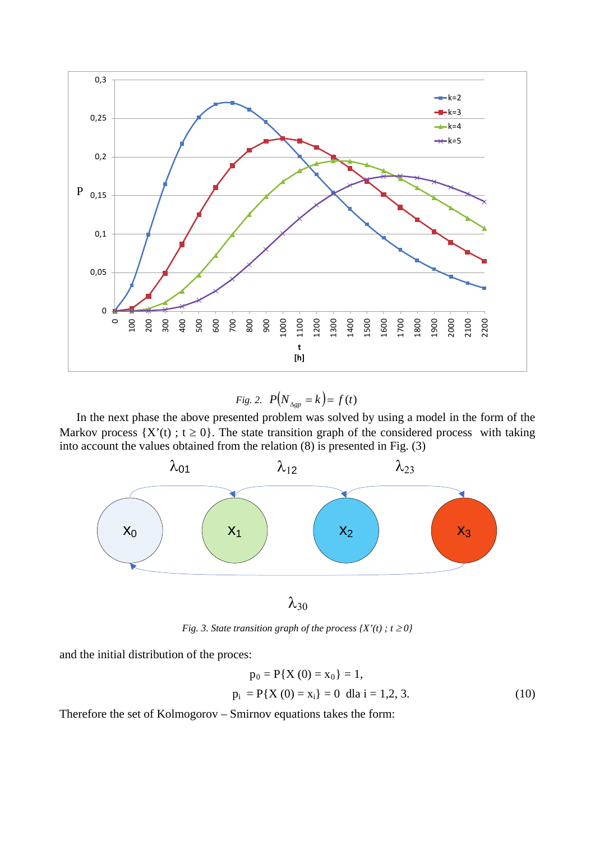

*Fig. 2.*  $P(N_{\Delta gp} = k) = f(t)$ 

In the next phase the above presented problem was solved by using a model in the form of the Markov process  $\{X'(t) : t \geq 0\}$ . The state transition graph of the considered process with taking into account the values obtained from the relation (8) is presented in Fig. (3)



 $\lambda_{30}$ 

*Fig. 3. State transition graph of the process*  ${X'(t) : t \geq 0}$ 

and the initial distribution of the proces:

$$
p_0 = P{X (0) = x_0} = 1,
$$
  
\n
$$
p_i = P{X (0) = x_i} = 0 \text{ dla } i = 1,2,3.
$$
 (10)

Therefore the set of Kolmogorov – Smirnov equations takes the form: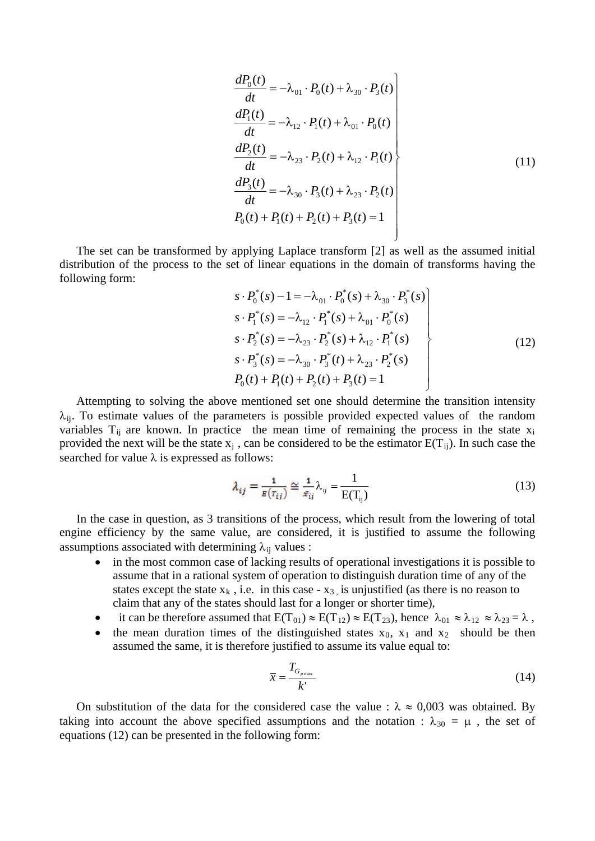$$
\frac{dP_0(t)}{dt} = -\lambda_{01} \cdot P_0(t) + \lambda_{30} \cdot P_3(t)
$$
\n
$$
\frac{dP_1(t)}{dt} = -\lambda_{12} \cdot P_1(t) + \lambda_{01} \cdot P_0(t)
$$
\n
$$
\frac{dP_2(t)}{dt} = -\lambda_{23} \cdot P_2(t) + \lambda_{12} \cdot P_1(t)
$$
\n
$$
\frac{dP_3(t)}{dt} = -\lambda_{30} \cdot P_3(t) + \lambda_{23} \cdot P_2(t)
$$
\n
$$
P_0(t) + P_1(t) + P_2(t) + P_3(t) = 1
$$
\n(11)

The set can be transformed by applying Laplace transform [2] as well as the assumed initial distribution of the process to the set of linear equations in the domain of transforms having the following form:

$$
s \cdot P_0^*(s) - 1 = -\lambda_{01} \cdot P_0^*(s) + \lambda_{30} \cdot P_3^*(s)
$$
  
\n
$$
s \cdot P_1^*(s) = -\lambda_{12} \cdot P_1^*(s) + \lambda_{01} \cdot P_0^*(s)
$$
  
\n
$$
s \cdot P_2^*(s) = -\lambda_{23} \cdot P_2^*(s) + \lambda_{12} \cdot P_1^*(s)
$$
  
\n
$$
s \cdot P_3^*(s) = -\lambda_{30} \cdot P_3^*(t) + \lambda_{23} \cdot P_2^*(s)
$$
  
\n
$$
P_0(t) + P_1(t) + P_2(t) + P_3(t) = 1
$$
\n(12)

 $\lambda_{ij}$ . To estimate values of the parameters is possible provided expected values of the random Attempting to solving the above mentioned set one should determine the transition intensity variables  $T_{ij}$  are known. In practice the mean time of remaining the process in the state  $x_i$ provided the next will be the state  $x_i$ , can be considered to be the estimator  $E(T_{ii})$ . In such case the searched for value  $\lambda$  is expressed as follows:

$$
\lambda_{ij} = \frac{1}{\varepsilon(\tau_{ij})} \cong \frac{1}{\bar{x}_{ij}} \lambda_{ij} = \frac{1}{E(T_{ij})}
$$
(13)

In the case in question, as 3 transitions of the process, which result from the lowering of total engine efficiency by the same value, are considered, it is justified to assume the following assumptions associated with determining  $\lambda_{ij}$  values :

- in the most common case of lacking results of operational investigations it is possible to assume that in a rational system of operation to distinguish duration time of any of the states except the state  $x_k$ , i.e. in this case -  $x_3$ , is unjustified (as there is no reason to claim that any of the states should last for a longer or shorter time),
- it can be therefore assumed that  $E(T_{01}) \approx E(T_{12}) \approx E(T_{23})$ , hence  $\lambda_{01} \approx \lambda_{12} \approx \lambda_{23} = \lambda$ ,
- the mean duration times of the distinguished states  $x_0$ ,  $x_1$  and  $x_2$  should be then assumed the same, it is therefore justified to assume its value equal to:

$$
\overline{x} = \frac{T_{G_{p\text{max}}}}{k} \tag{14}
$$

On substitution of the data for the considered case the value :  $\lambda \approx 0.003$  was obtained. By taking into account the above specified assumptions and the notation :  $\lambda_{30} = \mu$ , the set of equations (12) can be presented in the following form: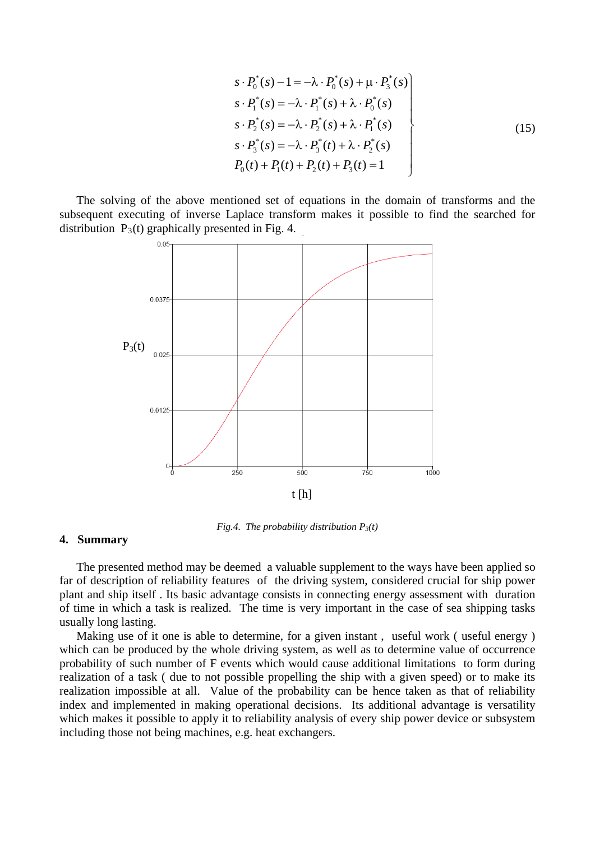$$
s \cdot P_0^*(s) - 1 = -\lambda \cdot P_0^*(s) + \mu \cdot P_3^*(s)
$$
  
\n
$$
s \cdot P_1^*(s) = -\lambda \cdot P_1^*(s) + \lambda \cdot P_0^*(s)
$$
  
\n
$$
s \cdot P_2^*(s) = -\lambda \cdot P_2^*(s) + \lambda \cdot P_1^*(s)
$$
  
\n
$$
s \cdot P_3^*(s) = -\lambda \cdot P_3^*(t) + \lambda \cdot P_2^*(s)
$$
  
\n
$$
P_0(t) + P_1(t) + P_2(t) + P_3(t) = 1
$$
\n(15)

The solving of the above mentioned set of equations in the domain of transforms and the subsequent executing of inverse Laplace transform makes it possible to find the searched for distribution  $P_3(t)$  graphically presented in Fig. 4.



*Fig.4. The probability distribution*  $P_3(t)$ 

#### **4. Summary**

The presented method may be deemed a valuable supplement to the ways have been applied so far of description of reliability features of the driving system, considered crucial for ship power plant and ship itself . Its basic advantage consists in connecting energy assessment with duration of time in which a task is realized. The time is very important in the case of sea shipping tasks usually long lasting.

Making use of it one is able to determine, for a given instant , useful work ( useful energy ) which can be produced by the whole driving system, as well as to determine value of occurrence probability of such number of F events which would cause additional limitations to form during realization of a task ( due to not possible propelling the ship with a given speed) or to make its realization impossible at all. Value of the probability can be hence taken as that of reliability index and implemented in making operational decisions. Its additional advantage is versatility which makes it possible to apply it to reliability analysis of every ship power device or subsystem including those not being machines, e.g. heat exchangers.